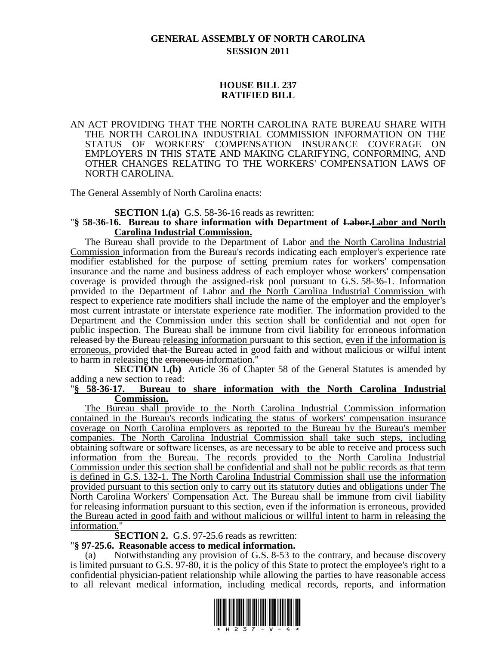# **GENERAL ASSEMBLY OF NORTH CAROLINA SESSION 2011**

# **HOUSE BILL 237 RATIFIED BILL**

# AN ACT PROVIDING THAT THE NORTH CAROLINA RATE BUREAU SHARE WITH THE NORTH CAROLINA INDUSTRIAL COMMISSION INFORMATION ON THE STATUS OF WORKERS' COMPENSATION INSURANCE COVERAGE ON EMPLOYERS IN THIS STATE AND MAKING CLARIFYING, CONFORMING, AND OTHER CHANGES RELATING TO THE WORKERS' COMPENSATION LAWS OF NORTH CAROLINA.

The General Assembly of North Carolina enacts:

# **SECTION 1.(a)** G.S. 58-36-16 reads as rewritten:

# "**§ 58-36-16. Bureau to share information with Department of Labor.Labor and North Carolina Industrial Commission.**

The Bureau shall provide to the Department of Labor and the North Carolina Industrial Commission information from the Bureau's records indicating each employer's experience rate modifier established for the purpose of setting premium rates for workers' compensation insurance and the name and business address of each employer whose workers' compensation coverage is provided through the assigned-risk pool pursuant to G.S. 58-36-1. Information provided to the Department of Labor and the North Carolina Industrial Commission with respect to experience rate modifiers shall include the name of the employer and the employer's most current intrastate or interstate experience rate modifier. The information provided to the Department and the Commission under this section shall be confidential and not open for public inspection. The Bureau shall be immune from civil liability for erroneous information released by the Bureau releasing information pursuant to this section, even if the information is erroneous, provided that the Bureau acted in good faith and without malicious or wilful intent to harm in releasing the erroneous information."

**SECTION 1.(b)** Article 36 of Chapter 58 of the General Statutes is amended by adding a new section to read:

#### "**§ 58-36-17. Bureau to share information with the North Carolina Industrial Commission.**

The Bureau shall provide to the North Carolina Industrial Commission information contained in the Bureau's records indicating the status of workers' compensation insurance coverage on North Carolina employers as reported to the Bureau by the Bureau's member companies. The North Carolina Industrial Commission shall take such steps, including obtaining software or software licenses, as are necessary to be able to receive and process such information from the Bureau. The records provided to the North Carolina Industrial Commission under this section shall be confidential and shall not be public records as that term is defined in G.S. 132-1. The North Carolina Industrial Commission shall use the information provided pursuant to this section only to carry out its statutory duties and obligations under The North Carolina Workers' Compensation Act. The Bureau shall be immune from civil liability for releasing information pursuant to this section, even if the information is erroneous, provided the Bureau acted in good faith and without malicious or willful intent to harm in releasing the information."

**SECTION 2.** G.S. 97-25.6 reads as rewritten:

# "**§ 97-25.6. Reasonable access to medical information.**

(a) Notwithstanding any provision of G.S. 8-53 to the contrary, and because discovery is limited pursuant to G.S. 97-80, it is the policy of this State to protect the employee's right to a confidential physician-patient relationship while allowing the parties to have reasonable access to all relevant medical information, including medical records, reports, and information

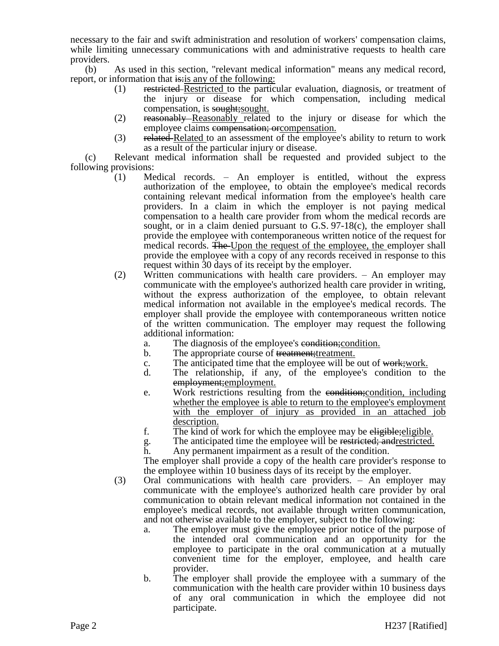necessary to the fair and swift administration and resolution of workers' compensation claims, while limiting unnecessary communications with and administrative requests to health care providers.

(b) As used in this section, "relevant medical information" means any medical record, report, or information that is: is any of the following:

- (1) restricted Restricted to the particular evaluation, diagnosis, or treatment of the injury or disease for which compensation, including medical compensation, is sought;sought.
- (2) reasonably Reasonably related to the injury or disease for which the employee claims compensation; or compensation.
- (3) related Related to an assessment of the employee's ability to return to work as a result of the particular injury or disease.

(c) Relevant medical information shall be requested and provided subject to the following provisions:

- (1) Medical records. An employer is entitled, without the express authorization of the employee, to obtain the employee's medical records containing relevant medical information from the employee's health care providers. In a claim in which the employer is not paying medical compensation to a health care provider from whom the medical records are sought, or in a claim denied pursuant to G.S. 97-18(c), the employer shall provide the employee with contemporaneous written notice of the request for medical records. The Upon the request of the employee, the employer shall provide the employee with a copy of any records received in response to this request within 30 days of its receipt by the employer.
- (2) Written communications with health care providers. An employer may communicate with the employee's authorized health care provider in writing, without the express authorization of the employee, to obtain relevant medical information not available in the employee's medical records. The employer shall provide the employee with contemporaneous written notice of the written communication. The employer may request the following additional information:
	- a. The diagnosis of the employee's condition; condition.
	- b. The appropriate course of treatment; treatment.
	- c. The anticipated time that the employee will be out of work; work.
	- d. The relationship, if any, of the employee's condition to the employment; employment.
	- e. Work restrictions resulting from the condition;condition, including whether the employee is able to return to the employee's employment with the employer of injury as provided in an attached job description.
	- f. The kind of work for which the employee may be eligible-eligible.
	- g. The anticipated time the employee will be restricted; andrestricted.
	- h. Any permanent impairment as a result of the condition.

The employer shall provide a copy of the health care provider's response to the employee within 10 business days of its receipt by the employer.

- (3) Oral communications with health care providers. An employer may communicate with the employee's authorized health care provider by oral communication to obtain relevant medical information not contained in the employee's medical records, not available through written communication, and not otherwise available to the employer, subject to the following:
	- a. The employer must give the employee prior notice of the purpose of the intended oral communication and an opportunity for the employee to participate in the oral communication at a mutually convenient time for the employer, employee, and health care provider.
	- b. The employer shall provide the employee with a summary of the communication with the health care provider within 10 business days of any oral communication in which the employee did not participate.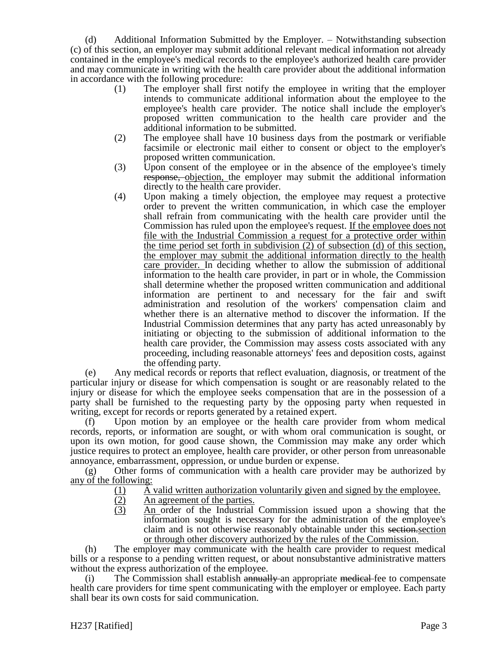(d) Additional Information Submitted by the Employer. – Notwithstanding subsection (c) of this section, an employer may submit additional relevant medical information not already contained in the employee's medical records to the employee's authorized health care provider and may communicate in writing with the health care provider about the additional information in accordance with the following procedure:

- (1) The employer shall first notify the employee in writing that the employer intends to communicate additional information about the employee to the employee's health care provider. The notice shall include the employer's proposed written communication to the health care provider and the additional information to be submitted.
- (2) The employee shall have 10 business days from the postmark or verifiable facsimile or electronic mail either to consent or object to the employer's proposed written communication.
- (3) Upon consent of the employee or in the absence of the employee's timely response, objection, the employer may submit the additional information directly to the health care provider.
- (4) Upon making a timely objection, the employee may request a protective order to prevent the written communication, in which case the employer shall refrain from communicating with the health care provider until the Commission has ruled upon the employee's request. If the employee does not file with the Industrial Commission a request for a protective order within the time period set forth in subdivision (2) of subsection (d) of this section, the employer may submit the additional information directly to the health care provider. In deciding whether to allow the submission of additional information to the health care provider, in part or in whole, the Commission shall determine whether the proposed written communication and additional information are pertinent to and necessary for the fair and swift administration and resolution of the workers' compensation claim and whether there is an alternative method to discover the information. If the Industrial Commission determines that any party has acted unreasonably by initiating or objecting to the submission of additional information to the health care provider, the Commission may assess costs associated with any proceeding, including reasonable attorneys' fees and deposition costs, against the offending party.

(e) Any medical records or reports that reflect evaluation, diagnosis, or treatment of the particular injury or disease for which compensation is sought or are reasonably related to the injury or disease for which the employee seeks compensation that are in the possession of a party shall be furnished to the requesting party by the opposing party when requested in writing, except for records or reports generated by a retained expert.

(f) Upon motion by an employee or the health care provider from whom medical records, reports, or information are sought, or with whom oral communication is sought, or upon its own motion, for good cause shown, the Commission may make any order which justice requires to protect an employee, health care provider, or other person from unreasonable annoyance, embarrassment, oppression, or undue burden or expense.

(g) Other forms of communication with a health care provider may be authorized by any of the following:

- (1) A valid written authorization voluntarily given and signed by the employee.
- (2) An agreement of the parties.
- (3) An order of the Industrial Commission issued upon a showing that the information sought is necessary for the administration of the employee's claim and is not otherwise reasonably obtainable under this section.section or through other discovery authorized by the rules of the Commission.

(h) The employer may communicate with the health care provider to request medical bills or a response to a pending written request, or about nonsubstantive administrative matters without the express authorization of the employee.

The Commission shall establish annually an appropriate medical fee to compensate health care providers for time spent communicating with the employer or employee. Each party shall bear its own costs for said communication.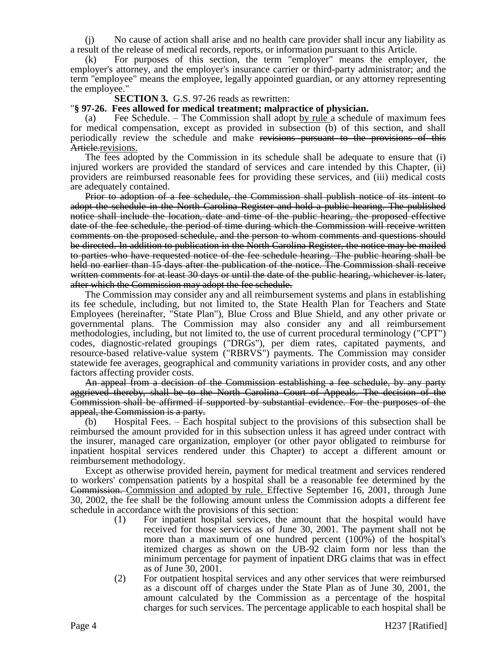(j) No cause of action shall arise and no health care provider shall incur any liability as a result of the release of medical records, reports, or information pursuant to this Article.

(k) For purposes of this section, the term "employer" means the employer, the employer's attorney, and the employer's insurance carrier or third-party administrator; and the term "employee" means the employee, legally appointed guardian, or any attorney representing the employee."

#### **SECTION 3.** G.S. 97-26 reads as rewritten:

# "**§ 97-26. Fees allowed for medical treatment; malpractice of physician.**

Fee Schedule. – The Commission shall adopt by rule a schedule of maximum fees for medical compensation, except as provided in subsection (b) of this section, and shall periodically review the schedule and make revisions pursuant to the provisions of this Article.revisions.

The fees adopted by the Commission in its schedule shall be adequate to ensure that (i) injured workers are provided the standard of services and care intended by this Chapter, (ii) providers are reimbursed reasonable fees for providing these services, and (iii) medical costs are adequately contained.

Prior to adoption of a fee schedule, the Commission shall publish notice of its intent to adopt the schedule in the North Carolina Register and hold a public hearing. The published notice shall include the location, date and time of the public hearing, the proposed effective date of the fee schedule, the period of time during which the Commission will receive written comments on the proposed schedule, and the person to whom comments and questions should be directed. In addition to publication in the North Carolina Register, the notice may be mailed to parties who have requested notice of the fee schedule hearing. The public hearing shall be held no earlier than 15 days after the publication of the notice. The Commission shall receive written comments for at least 30 days or until the date of the public hearing, whichever is later, after which the Commission may adopt the fee schedule.

The Commission may consider any and all reimbursement systems and plans in establishing its fee schedule, including, but not limited to, the State Health Plan for Teachers and State Employees (hereinafter, "State Plan"), Blue Cross and Blue Shield, and any other private or governmental plans. The Commission may also consider any and all reimbursement methodologies, including, but not limited to, the use of current procedural terminology ("CPT") codes, diagnostic-related groupings ("DRGs"), per diem rates, capitated payments, and resource-based relative-value system ("RBRVS") payments. The Commission may consider statewide fee averages, geographical and community variations in provider costs, and any other factors affecting provider costs.

An appeal from a decision of the Commission establishing a fee schedule, by any party aggrieved thereby, shall be to the North Carolina Court of Appeals. The decision of the Commission shall be affirmed if supported by substantial evidence. For the purposes of the appeal, the Commission is a party.

(b) Hospital Fees. – Each hospital subject to the provisions of this subsection shall be reimbursed the amount provided for in this subsection unless it has agreed under contract with the insurer, managed care organization, employer (or other payor obligated to reimburse for inpatient hospital services rendered under this Chapter) to accept a different amount or reimbursement methodology.

Except as otherwise provided herein, payment for medical treatment and services rendered to workers' compensation patients by a hospital shall be a reasonable fee determined by the Commission. Commission and adopted by rule. Effective September 16, 2001, through June 30, 2002, the fee shall be the following amount unless the Commission adopts a different fee schedule in accordance with the provisions of this section:

- (1) For inpatient hospital services, the amount that the hospital would have received for those services as of June 30, 2001. The payment shall not be more than a maximum of one hundred percent (100%) of the hospital's itemized charges as shown on the UB-92 claim form nor less than the minimum percentage for payment of inpatient DRG claims that was in effect as of June 30, 2001.
- (2) For outpatient hospital services and any other services that were reimbursed as a discount off of charges under the State Plan as of June 30, 2001, the amount calculated by the Commission as a percentage of the hospital charges for such services. The percentage applicable to each hospital shall be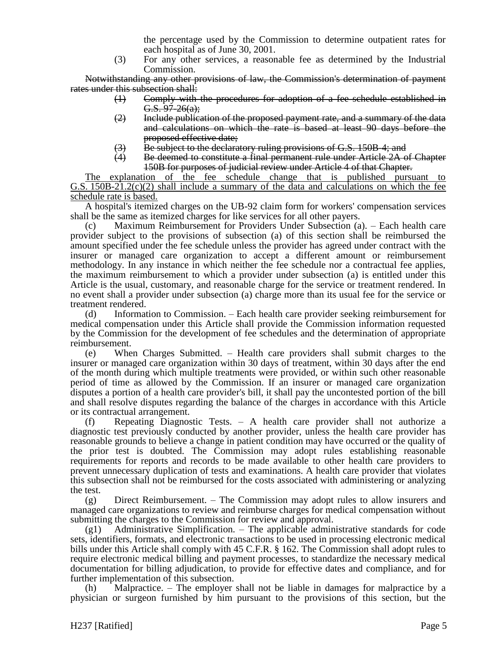the percentage used by the Commission to determine outpatient rates for each hospital as of June 30, 2001.

(3) For any other services, a reasonable fee as determined by the Industrial Commission.

Notwithstanding any other provisions of law, the Commission's determination of payment rates under this subsection shall:

- (1) Comply with the procedures for adoption of a fee schedule established in  $G.S. 97-26(a)$ ;
- $(2)$  Include publication of the proposed payment rate, and a summary of the data and calculations on which the rate is based at least 90 days before the proposed effective date;
- $(3)$  Be subject to the declaratory ruling provisions of G.S. 150B-4; and
- (4) Be deemed to constitute a final permanent rule under Article 2A of Chapter 150B for purposes of judicial review under Article 4 of that Chapter.

The explanation of the fee schedule change that is published pursuant to G.S.  $150B-21.2(c)(2)$  shall include a summary of the data and calculations on which the fee schedule rate is based.

A hospital's itemized charges on the UB-92 claim form for workers' compensation services shall be the same as itemized charges for like services for all other payers.

(c) Maximum Reimbursement for Providers Under Subsection (a). – Each health care provider subject to the provisions of subsection (a) of this section shall be reimbursed the amount specified under the fee schedule unless the provider has agreed under contract with the insurer or managed care organization to accept a different amount or reimbursement methodology. In any instance in which neither the fee schedule nor a contractual fee applies, the maximum reimbursement to which a provider under subsection (a) is entitled under this Article is the usual, customary, and reasonable charge for the service or treatment rendered. In no event shall a provider under subsection (a) charge more than its usual fee for the service or treatment rendered.

(d) Information to Commission. – Each health care provider seeking reimbursement for medical compensation under this Article shall provide the Commission information requested by the Commission for the development of fee schedules and the determination of appropriate reimbursement.

(e) When Charges Submitted. – Health care providers shall submit charges to the insurer or managed care organization within 30 days of treatment, within 30 days after the end of the month during which multiple treatments were provided, or within such other reasonable period of time as allowed by the Commission. If an insurer or managed care organization disputes a portion of a health care provider's bill, it shall pay the uncontested portion of the bill and shall resolve disputes regarding the balance of the charges in accordance with this Article or its contractual arrangement.

(f) Repeating Diagnostic Tests. – A health care provider shall not authorize a diagnostic test previously conducted by another provider, unless the health care provider has reasonable grounds to believe a change in patient condition may have occurred or the quality of the prior test is doubted. The Commission may adopt rules establishing reasonable requirements for reports and records to be made available to other health care providers to prevent unnecessary duplication of tests and examinations. A health care provider that violates this subsection shall not be reimbursed for the costs associated with administering or analyzing the test.

(g) Direct Reimbursement. – The Commission may adopt rules to allow insurers and managed care organizations to review and reimburse charges for medical compensation without submitting the charges to the Commission for review and approval.

(g1) Administrative Simplification. – The applicable administrative standards for code sets, identifiers, formats, and electronic transactions to be used in processing electronic medical bills under this Article shall comply with 45 C.F.R. § 162. The Commission shall adopt rules to require electronic medical billing and payment processes, to standardize the necessary medical documentation for billing adjudication, to provide for effective dates and compliance, and for further implementation of this subsection.

(h) Malpractice. – The employer shall not be liable in damages for malpractice by a physician or surgeon furnished by him pursuant to the provisions of this section, but the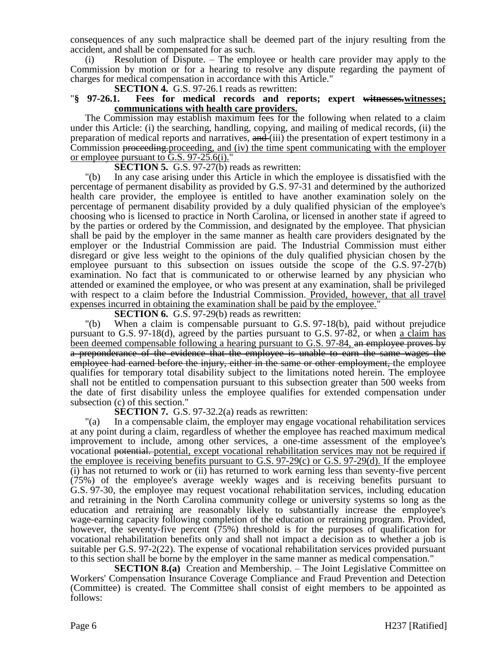consequences of any such malpractice shall be deemed part of the injury resulting from the accident, and shall be compensated for as such.

(i) Resolution of Dispute. – The employee or health care provider may apply to the Commission by motion or for a hearing to resolve any dispute regarding the payment of charges for medical compensation in accordance with this Article."

#### **SECTION 4.** G.S. 97-26.1 reads as rewritten:<br>"§ 97-26.1. Fees for medical records and rep **Fees for medical records and reports; expert witnesses, witnesses; communications with health care providers.**

The Commission may establish maximum fees for the following when related to a claim under this Article: (i) the searching, handling, copying, and mailing of medical records, (ii) the preparation of medical reports and narratives, and (iii) the presentation of expert testimony in a Commission proceeding.proceeding, and (iv) the time spent communicating with the employer or employee pursuant to G.S. 97-25.6(i)."

**SECTION 5.** G.S. 97-27(b) reads as rewritten:

"(b) In any case arising under this Article in which the employee is dissatisfied with the percentage of permanent disability as provided by G.S. 97-31 and determined by the authorized health care provider, the employee is entitled to have another examination solely on the percentage of permanent disability provided by a duly qualified physician of the employee's choosing who is licensed to practice in North Carolina, or licensed in another state if agreed to by the parties or ordered by the Commission, and designated by the employee. That physician shall be paid by the employer in the same manner as health care providers designated by the employer or the Industrial Commission are paid. The Industrial Commission must either disregard or give less weight to the opinions of the duly qualified physician chosen by the employee pursuant to this subsection on issues outside the scope of the G.S. 97-27(b) examination. No fact that is communicated to or otherwise learned by any physician who attended or examined the employee, or who was present at any examination, shall be privileged with respect to a claim before the Industrial Commission. Provided, however, that all travel expenses incurred in obtaining the examination shall be paid by the employee."

**SECTION 6.** G.S. 97-29(b) reads as rewritten:

"(b) When a claim is compensable pursuant to G.S. 97-18(b), paid without prejudice pursuant to G.S. 97-18(d), agreed by the parties pursuant to G.S. 97-82, or when a claim has been deemed compensable following a hearing pursuant to G.S. 97-84, an employee proves by a preponderance of the evidence that the employee is unable to earn the same wages the employee had earned before the injury, either in the same or other employment, the employee qualifies for temporary total disability subject to the limitations noted herein. The employee shall not be entitled to compensation pursuant to this subsection greater than 500 weeks from the date of first disability unless the employee qualifies for extended compensation under subsection (c) of this section."

**SECTION 7.** G.S. 97-32.2(a) reads as rewritten:

"(a) In a compensable claim, the employer may engage vocational rehabilitation services at any point during a claim, regardless of whether the employee has reached maximum medical improvement to include, among other services, a one-time assessment of the employee's vocational potential. potential, except vocational rehabilitation services may not be required if the employee is receiving benefits pursuant to G.S. 97-29(c) or G.S. 97-29(d). If the employee (i) has not returned to work or (ii) has returned to work earning less than seventy-five percent (75%) of the employee's average weekly wages and is receiving benefits pursuant to G.S. 97-30, the employee may request vocational rehabilitation services, including education and retraining in the North Carolina community college or university systems so long as the education and retraining are reasonably likely to substantially increase the employee's wage-earning capacity following completion of the education or retraining program. Provided, however, the seventy-five percent (75%) threshold is for the purposes of qualification for vocational rehabilitation benefits only and shall not impact a decision as to whether a job is suitable per G.S. 97-2(22). The expense of vocational rehabilitation services provided pursuant to this section shall be borne by the employer in the same manner as medical compensation."

**SECTION 8.(a)** Creation and Membership. – The Joint Legislative Committee on Workers' Compensation Insurance Coverage Compliance and Fraud Prevention and Detection (Committee) is created. The Committee shall consist of eight members to be appointed as follows: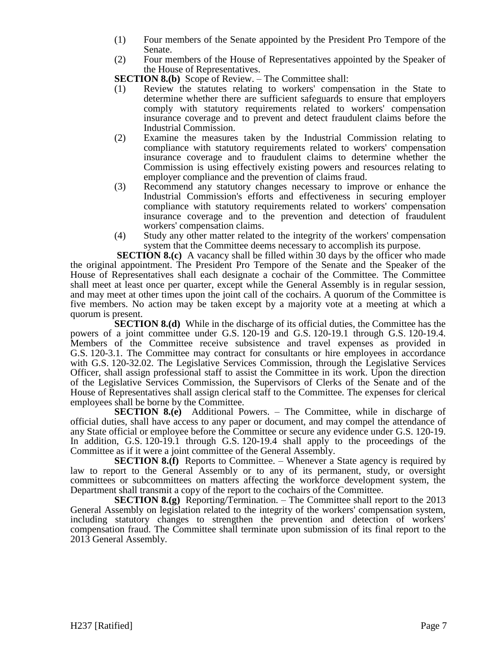- (1) Four members of the Senate appointed by the President Pro Tempore of the Senate.
- (2) Four members of the House of Representatives appointed by the Speaker of the House of Representatives.

**SECTION 8.(b)** Scope of Review. – The Committee shall:

- (1) Review the statutes relating to workers' compensation in the State to determine whether there are sufficient safeguards to ensure that employers comply with statutory requirements related to workers' compensation insurance coverage and to prevent and detect fraudulent claims before the Industrial Commission.
- (2) Examine the measures taken by the Industrial Commission relating to compliance with statutory requirements related to workers' compensation insurance coverage and to fraudulent claims to determine whether the Commission is using effectively existing powers and resources relating to employer compliance and the prevention of claims fraud.
- (3) Recommend any statutory changes necessary to improve or enhance the Industrial Commission's efforts and effectiveness in securing employer compliance with statutory requirements related to workers' compensation insurance coverage and to the prevention and detection of fraudulent workers' compensation claims.
- (4) Study any other matter related to the integrity of the workers' compensation system that the Committee deems necessary to accomplish its purpose.

**SECTION 8.(c)** A vacancy shall be filled within 30 days by the officer who made the original appointment. The President Pro Tempore of the Senate and the Speaker of the House of Representatives shall each designate a cochair of the Committee. The Committee shall meet at least once per quarter, except while the General Assembly is in regular session, and may meet at other times upon the joint call of the cochairs. A quorum of the Committee is five members. No action may be taken except by a majority vote at a meeting at which a quorum is present.

**SECTION 8.(d)** While in the discharge of its official duties, the Committee has the powers of a joint committee under G.S. 120-19 and G.S. 120-19.1 through G.S. 120-19.4. Members of the Committee receive subsistence and travel expenses as provided in G.S. 120-3.1. The Committee may contract for consultants or hire employees in accordance with G.S. 120-32.02. The Legislative Services Commission, through the Legislative Services Officer, shall assign professional staff to assist the Committee in its work. Upon the direction of the Legislative Services Commission, the Supervisors of Clerks of the Senate and of the House of Representatives shall assign clerical staff to the Committee. The expenses for clerical employees shall be borne by the Committee.

**SECTION 8.(e)** Additional Powers. – The Committee, while in discharge of official duties, shall have access to any paper or document, and may compel the attendance of any State official or employee before the Committee or secure any evidence under G.S. 120-19. In addition, G.S. 120-19.1 through G.S. 120-19.4 shall apply to the proceedings of the Committee as if it were a joint committee of the General Assembly.

**SECTION 8.(f)** Reports to Committee. – Whenever a State agency is required by law to report to the General Assembly or to any of its permanent, study, or oversight committees or subcommittees on matters affecting the workforce development system, the Department shall transmit a copy of the report to the cochairs of the Committee.

**SECTION 8.(g)** Reporting/Termination. – The Committee shall report to the 2013 General Assembly on legislation related to the integrity of the workers' compensation system, including statutory changes to strengthen the prevention and detection of workers' compensation fraud. The Committee shall terminate upon submission of its final report to the 2013 General Assembly.